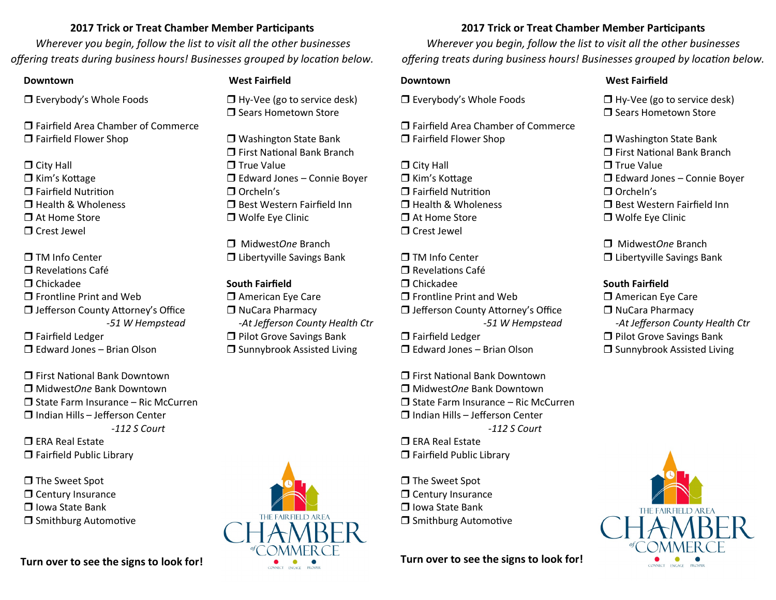## **2017 Trick or Treat Chamber Member Participants**

*Wherever you begin, follow the list to visit all the other businesses offering treats during business hours! Businesses grouped by location below.*

□ Everybody's Whole Foods

 Fairfield Area Chamber of Commerce □ Fairfield Flower Shop

- $\Box$  City Hall  $\Box$  Kim's Kottage □ Fairfield Nutrition  $\Box$  Health & Wholeness At Home Store
- Crest Jewel

 $\P$  TM Info Center  $\Box$  Revelations Café  $\Box$  Chickadee  $\Box$  Frontline Print and Web  $\Box$  Jefferson County Attorney's Office *-51 W Hempstead* 

□ Fairfield Ledger  $\Box$  Edward Jones – Brian Olson

 First National Bank Downtown Midwest*One* Bank Downtown  $\Box$  State Farm Insurance – Ric McCurren  $\Box$  Indian Hills – Jefferson Center *-112 S Court*

 $\Box$  ERA Real Estate □ Fairfield Public Library

□ The Sweet Spot Century Insurance  $\Box$  Iowa State Bank  $\Box$  Smithburg Automotive

**Turn over to see the signs to look for!**

### **Downtown West Fairfield**

□ Hy-Vee (go to service desk) **T** Sears Hometown Store

□ Washington State Bank □ First National Bank Branch  $\square$  True Value  $\Box$  Edward Jones – Connie Boyer □ Orcheln's □ Best Western Fairfield Inn □ Wolfe Eye Clinic

 Midwest*One* Branch □ Libertyville Savings Bank

**South Fairfield** □ American Eye Care □ NuCara Pharmacy  *-At Jefferson County Health Ctr* □ Pilot Grove Savings Bank  $\square$  Sunnybrook Assisted Living



# **2017 Trick or Treat Chamber Member Participants**

*Wherever you begin, follow the list to visit all the other businesses offering treats during business hours! Businesses grouped by location below.*

□ Everybody's Whole Foods

 Fairfield Area Chamber of Commerce □ Fairfield Flower Shop

 $\Box$  City Hall  $\Box$  Kim's Kottage □ Fairfield Nutrition  $\Box$  Health & Wholeness At Home Store Crest Jewel

 $\P$  TM Info Center  $\Box$  Revelations Café  $\Box$  Chickadee  $\Box$  Frontline Print and Web □ Jefferson County Attorney's Office *-51 W Hempstead*  □ Fairfield Ledger Edward Jones – Brian Olson

 First National Bank Downtown Midwest*One* Bank Downtown  $\Box$  State Farm Insurance – Ric McCurren  $\Pi$  Indian Hills – Jefferson Center *-112 S Court*

 $\Box$  ERA Real Estate □ Fairfield Public Library

□ The Sweet Spot Century Insurance Iowa State Bank **Smithburg Automotive** 

**Turn over to see the signs to look for!**

## **Downtown West Fairfield**

 $\Box$  Hy-Vee (go to service desk) **T** Sears Hometown Store

□ Washington State Bank □ First National Bank Branch  $\square$  True Value  $\Box$  Edward Jones – Connie Boyer □ Orcheln's □ Best Western Fairfield Inn **T** Wolfe Eve Clinic

 Midwest*One* Branch □ Libertyville Savings Bank

# **South Fairfield**

**D** American Eye Care □ NuCara Pharmacy  *-At Jefferson County Health Ctr* **D** Pilot Grove Savings Bank  $\square$  Sunnybrook Assisted Living